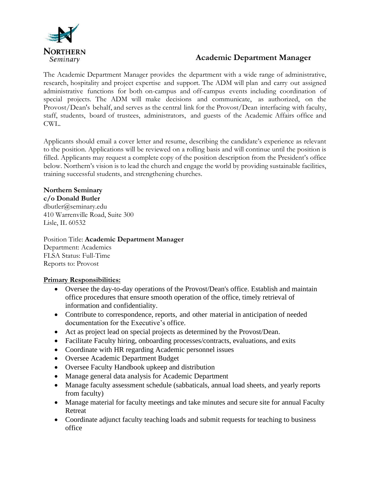

# **Academic Department Manager**

The Academic Department Manager provides the department with a wide range of administrative, research, hospitality and project expertise and support. The ADM will plan and carry out assigned administrative functions for both on-campus and off-campus events including coordination of special projects. The ADM will make decisions and communicate, as authorized, on the Provost/Dean's behalf, and serves as the central link for the Provost/Dean interfacing with faculty, staff, students, board of trustees, administrators, and guests of the Academic Affairs office and CWL.

Applicants should email a cover letter and resume, describing the candidate's experience as relevant to the position. Applications will be reviewed on a rolling basis and will continue until the position is filled. Applicants may request a complete copy of the position description from the President's office below. Northern's vision is to lead the church and engage the world by providing sustainable facilities, training successful students, and strengthening churches.

## **Northern Seminary**

**c/o Donald Butler**

dbutler@seminary.edu 410 Warrenville Road, Suite 300 Lisle, IL 60532

## Position Title: **Academic Department Manager**

Department: Academics FLSA Status: Full-Time Reports to: Provost

#### **Primary Responsibilities:**

- Oversee the day-to-day operations of the Provost/Dean's office. Establish and maintain office procedures that ensure smooth operation of the office, timely retrieval of information and confidentiality.
- Contribute to correspondence, reports, and other material in anticipation of needed documentation for the Executive's office.
- Act as project lead on special projects as determined by the Provost/Dean.
- Facilitate Faculty hiring, onboarding processes/contracts, evaluations, and exits
- Coordinate with HR regarding Academic personnel issues
- Oversee Academic Department Budget
- Oversee Faculty Handbook upkeep and distribution
- Manage general data analysis for Academic Department
- Manage faculty assessment schedule (sabbaticals, annual load sheets, and yearly reports from faculty)
- Manage material for faculty meetings and take minutes and secure site for annual Faculty Retreat
- Coordinate adjunct faculty teaching loads and submit requests for teaching to business office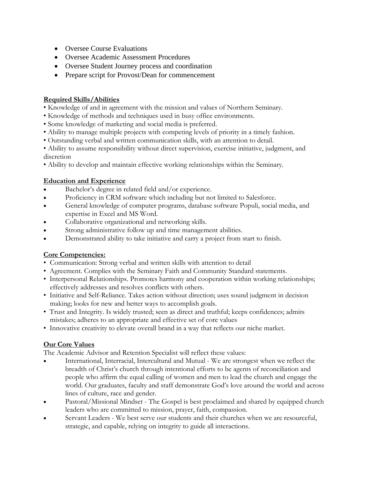- Oversee Course Evaluations
- Oversee Academic Assessment Procedures
- Oversee Student Journey process and coordination
- Prepare script for Provost/Dean for commencement

#### **Required Skills/Abilities**

- Knowledge of and in agreement with the mission and values of Northern Seminary.
- Knowledge of methods and techniques used in busy office environments.
- Some knowledge of marketing and social media is preferred.
- Ability to manage multiple projects with competing levels of priority in a timely fashion.
- Outstanding verbal and written communication skills, with an attention to detail.

• Ability to assume responsibility without direct supervision, exercise initiative, judgment, and discretion

• Ability to develop and maintain effective working relationships within the Seminary.

#### **Education and Experience**

- Bachelor's degree in related field and/or experience.
- Proficiency in CRM software which including but not limited to Salesforce.
- General knowledge of computer programs, database software Populi, social media, and expertise in Excel and MS Word.
- Collaborative organizational and networking skills.
- Strong administrative follow up and time management abilities.
- Demonstrated ability to take initiative and carry a project from start to finish.

#### **Core Competencies:**

- Communication: Strong verbal and written skills with attention to detail
- Agreement. Complies with the Seminary Faith and Community Standard statements.
- Interpersonal Relationships. Promotes harmony and cooperation within working relationships; effectively addresses and resolves conflicts with others.
- Initiative and Self-Reliance. Takes action without direction; uses sound judgment in decision making; looks for new and better ways to accomplish goals.
- Trust and Integrity. Is widely trusted; seen as direct and truthful; keeps confidences; admits mistakes; adheres to an appropriate and effective set of core values
- Innovative creativity to elevate overall brand in a way that reflects our niche market.

## **Our Core Values**

The Academic Advisor and Retention Specialist will reflect these values:

- International, Interracial, Intercultural and Mutual We are strongest when we reflect the breadth of Christ's church through intentional efforts to be agents of reconciliation and people who affirm the equal calling of women and men to lead the church and engage the world. Our graduates, faculty and staff demonstrate God's love around the world and across lines of culture, race and gender.
- Pastoral/Missional Mindset The Gospel is best proclaimed and shared by equipped church leaders who are committed to mission, prayer, faith, compassion.
- Servant Leaders We best serve our students and their churches when we are resourceful, strategic, and capable, relying on integrity to guide all interactions.